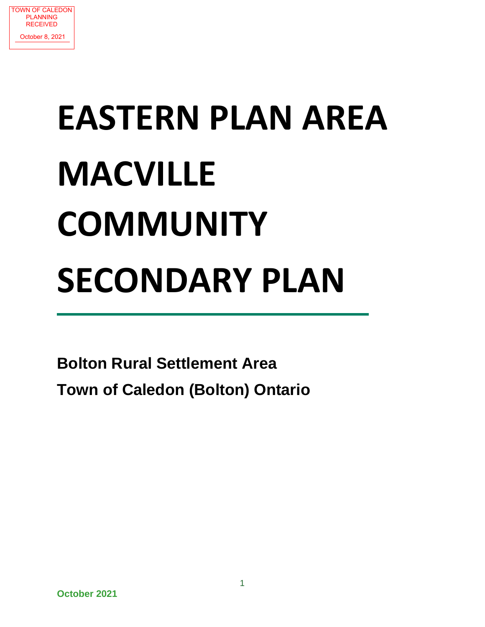

# **EASTERN PLAN AREA MACVILLE COMMUNITY SECONDARY PLAN**

**Bolton Rural Settlement Area Town of Caledon (Bolton) Ontario**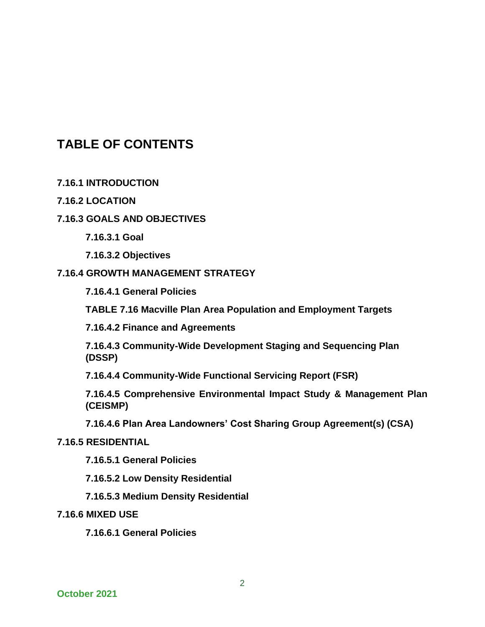# **TABLE OF CONTENTS**

**7.16.1 INTRODUCTION**

#### **7.16.2 LOCATION**

# **7.16.3 GOALS AND OBJECTIVES**

**7.16.3.1 Goal**

**7.16.3.2 Objectives**

#### **7.16.4 GROWTH MANAGEMENT STRATEGY**

**7.16.4.1 General Policies**

**TABLE 7.16 Macville Plan Area Population and Employment Targets**

**7.16.4.2 Finance and Agreements**

**7.16.4.3 Community-Wide Development Staging and Sequencing Plan (DSSP)**

**7.16.4.4 Community-Wide Functional Servicing Report (FSR)**

**7.16.4.5 Comprehensive Environmental Impact Study & Management Plan (CEISMP)** 

**7.16.4.6 Plan Area Landowners' Cost Sharing Group Agreement(s) (CSA)**

#### **7.16.5 RESIDENTIAL**

**7.16.5.1 General Policies**

**7.16.5.2 Low Density Residential**

**7.16.5.3 Medium Density Residential**

#### **7.16.6 MIXED USE**

**7.16.6.1 General Policies**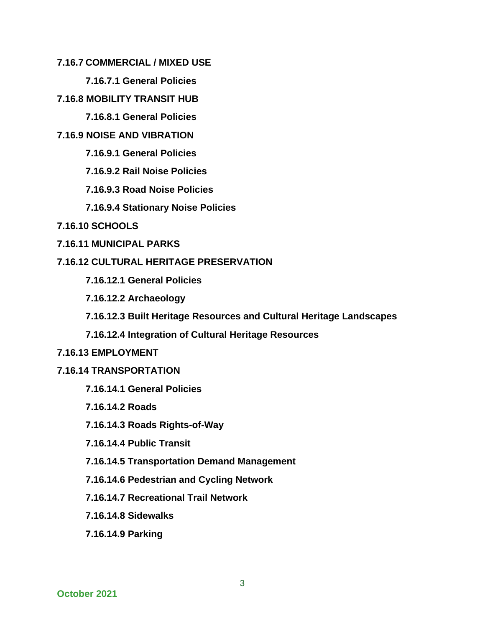- **7.16.7 COMMERCIAL / MIXED USE**
	- **7.16.7.1 General Policies**
- **7.16.8 MOBILITY TRANSIT HUB**
	- **7.16.8.1 General Policies**
- **7.16.9 NOISE AND VIBRATION**
	- **7.16.9.1 General Policies**
	- **7.16.9.2 Rail Noise Policies**
	- **7.16.9.3 Road Noise Policies**
	- **7.16.9.4 Stationary Noise Policies**
- **7.16.10 SCHOOLS**
- **7.16.11 MUNICIPAL PARKS**

#### **7.16.12 CULTURAL HERITAGE PRESERVATION**

- **7.16.12.1 General Policies**
- **7.16.12.2 Archaeology**
- **7.16.12.3 Built Heritage Resources and Cultural Heritage Landscapes**
- **7.16.12.4 Integration of Cultural Heritage Resources**

#### **7.16.13 EMPLOYMENT**

- **7.16.14 TRANSPORTATION**
	- **7.16.14.1 General Policies**
	- **7.16.14.2 Roads**
	- **7.16.14.3 Roads Rights-of-Way**
	- **7.16.14.4 Public Transit**
	- **7.16.14.5 Transportation Demand Management**
	- **7.16.14.6 Pedestrian and Cycling Network**
	- **7.16.14.7 Recreational Trail Network**
	- **7.16.14.8 Sidewalks**
	- **7.16.14.9 Parking**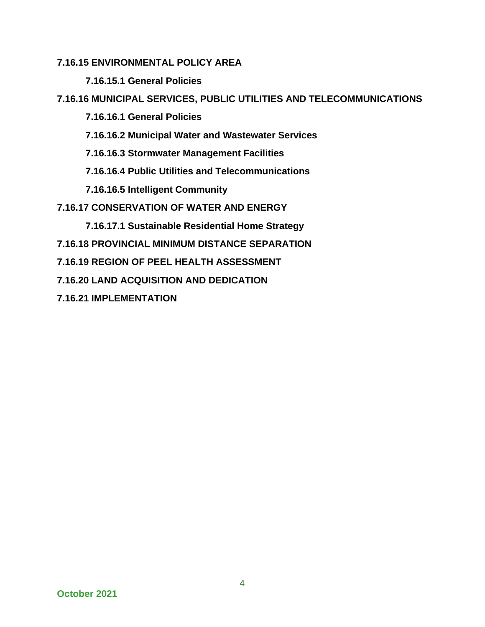# **7.16.15 ENVIRONMENTAL POLICY AREA**

**7.16.15.1 General Policies**

**7.16.16 MUNICIPAL SERVICES, PUBLIC UTILITIES AND TELECOMMUNICATIONS**

**7.16.16.1 General Policies**

**7.16.16.2 Municipal Water and Wastewater Services**

**7.16.16.3 Stormwater Management Facilities**

**7.16.16.4 Public Utilities and Telecommunications**

**7.16.16.5 Intelligent Community**

**7.16.17 CONSERVATION OF WATER AND ENERGY**

**7.16.17.1 Sustainable Residential Home Strategy**

**7.16.18 PROVINCIAL MINIMUM DISTANCE SEPARATION**

**7.16.19 REGION OF PEEL HEALTH ASSESSMENT**

**7.16.20 LAND ACQUISITION AND DEDICATION**

**7.16.21 IMPLEMENTATION**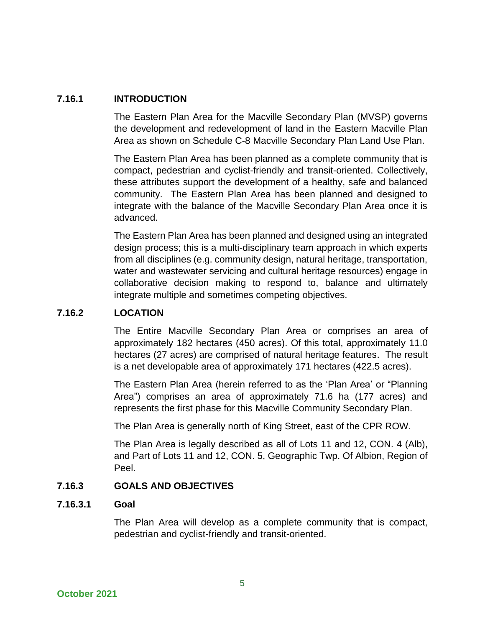### **7.16.1 INTRODUCTION**

The Eastern Plan Area for the Macville Secondary Plan (MVSP) governs the development and redevelopment of land in the Eastern Macville Plan Area as shown on Schedule C-8 Macville Secondary Plan Land Use Plan.

The Eastern Plan Area has been planned as a complete community that is compact, pedestrian and cyclist-friendly and transit-oriented. Collectively, these attributes support the development of a healthy, safe and balanced community. The Eastern Plan Area has been planned and designed to integrate with the balance of the Macville Secondary Plan Area once it is advanced.

The Eastern Plan Area has been planned and designed using an integrated design process; this is a multi-disciplinary team approach in which experts from all disciplines (e.g. community design, natural heritage, transportation, water and wastewater servicing and cultural heritage resources) engage in collaborative decision making to respond to, balance and ultimately integrate multiple and sometimes competing objectives.

# **7.16.2 LOCATION**

The Entire Macville Secondary Plan Area or comprises an area of approximately 182 hectares (450 acres). Of this total, approximately 11.0 hectares (27 acres) are comprised of natural heritage features. The result is a net developable area of approximately 171 hectares (422.5 acres).

The Eastern Plan Area (herein referred to as the 'Plan Area' or "Planning Area") comprises an area of approximately 71.6 ha (177 acres) and represents the first phase for this Macville Community Secondary Plan.

The Plan Area is generally north of King Street, east of the CPR ROW.

The Plan Area is legally described as all of Lots 11 and 12, CON. 4 (Alb), and Part of Lots 11 and 12, CON. 5, Geographic Twp. Of Albion, Region of Peel.

#### **7.16.3 GOALS AND OBJECTIVES**

#### **7.16.3.1 Goal**

The Plan Area will develop as a complete community that is compact, pedestrian and cyclist-friendly and transit-oriented.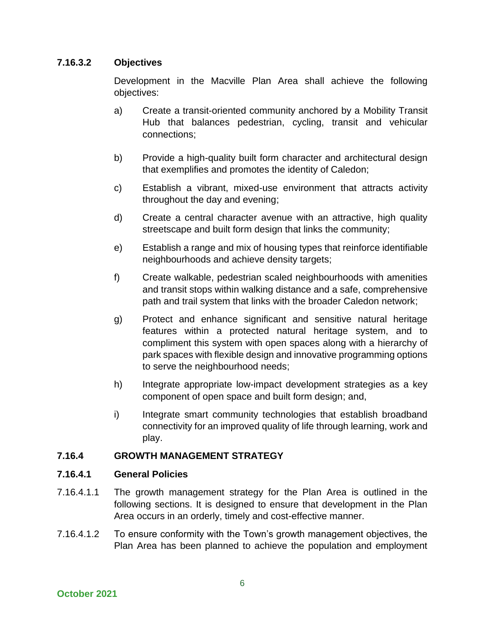# **7.16.3.2 Objectives**

Development in the Macville Plan Area shall achieve the following objectives:

- a) Create a transit-oriented community anchored by a Mobility Transit Hub that balances pedestrian, cycling, transit and vehicular connections;
- b) Provide a high-quality built form character and architectural design that exemplifies and promotes the identity of Caledon;
- c) Establish a vibrant, mixed-use environment that attracts activity throughout the day and evening;
- d) Create a central character avenue with an attractive, high quality streetscape and built form design that links the community;
- e) Establish a range and mix of housing types that reinforce identifiable neighbourhoods and achieve density targets;
- f) Create walkable, pedestrian scaled neighbourhoods with amenities and transit stops within walking distance and a safe, comprehensive path and trail system that links with the broader Caledon network;
- g) Protect and enhance significant and sensitive natural heritage features within a protected natural heritage system, and to compliment this system with open spaces along with a hierarchy of park spaces with flexible design and innovative programming options to serve the neighbourhood needs;
- h) Integrate appropriate low-impact development strategies as a key component of open space and built form design; and,
- i) Integrate smart community technologies that establish broadband connectivity for an improved quality of life through learning, work and play.

# **7.16.4 GROWTH MANAGEMENT STRATEGY**

#### **7.16.4.1 General Policies**

- 7.16.4.1.1 The growth management strategy for the Plan Area is outlined in the following sections. It is designed to ensure that development in the Plan Area occurs in an orderly, timely and cost-effective manner.
- 7.16.4.1.2 To ensure conformity with the Town's growth management objectives, the Plan Area has been planned to achieve the population and employment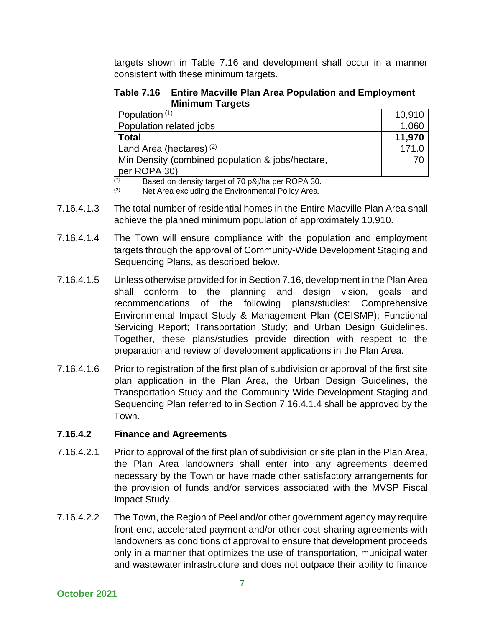targets shown in Table 7.16 and development shall occur in a manner consistent with these minimum targets.

**Table 7.16 Entire Macville Plan Area Population and Employment Minimum Targets** 

| Population <sup>(1)</sup>                                | 10,910 |
|----------------------------------------------------------|--------|
| Population related jobs                                  | 1,060  |
| <b>Total</b>                                             | 11,970 |
| Land Area (hectares) $(2)$                               | 171.0  |
| Min Density (combined population & jobs/hectare,         | 70     |
| per ROPA 30)                                             |        |
| (1)<br>Based on density target of 70 p&j/ha per ROPA 30. |        |

(2) Net Area excluding the Environmental Policy Area.

- 7.16.4.1.3 The total number of residential homes in the Entire Macville Plan Area shall achieve the planned minimum population of approximately 10,910.
- 7.16.4.1.4 The Town will ensure compliance with the population and employment targets through the approval of Community-Wide Development Staging and Sequencing Plans, as described below.
- 7.16.4.1.5 Unless otherwise provided for in Section 7.16, development in the Plan Area shall conform to the planning and design vision, goals and recommendations of the following plans/studies: Comprehensive Environmental Impact Study & Management Plan (CEISMP); Functional Servicing Report; Transportation Study; and Urban Design Guidelines. Together, these plans/studies provide direction with respect to the preparation and review of development applications in the Plan Area.
- 7.16.4.1.6 Prior to registration of the first plan of subdivision or approval of the first site plan application in the Plan Area, the Urban Design Guidelines, the Transportation Study and the Community-Wide Development Staging and Sequencing Plan referred to in Section 7.16.4.1.4 shall be approved by the Town.

# **7.16.4.2 Finance and Agreements**

- 7.16.4.2.1 Prior to approval of the first plan of subdivision or site plan in the Plan Area, the Plan Area landowners shall enter into any agreements deemed necessary by the Town or have made other satisfactory arrangements for the provision of funds and/or services associated with the MVSP Fiscal Impact Study.
- 7.16.4.2.2 The Town, the Region of Peel and/or other government agency may require front-end, accelerated payment and/or other cost-sharing agreements with landowners as conditions of approval to ensure that development proceeds only in a manner that optimizes the use of transportation, municipal water and wastewater infrastructure and does not outpace their ability to finance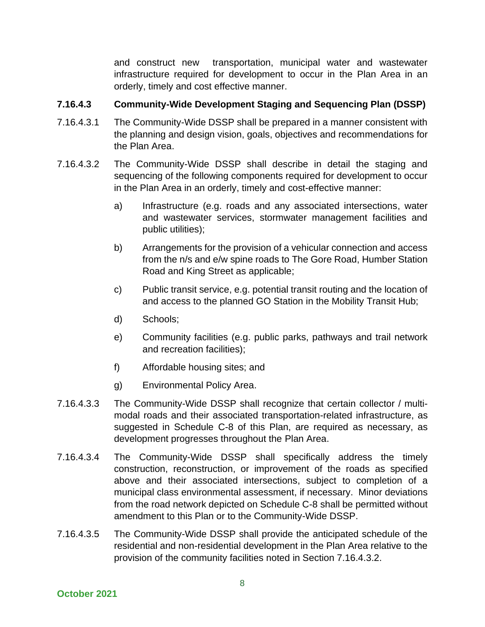and construct new transportation, municipal water and wastewater infrastructure required for development to occur in the Plan Area in an orderly, timely and cost effective manner.

#### **7.16.4.3 Community-Wide Development Staging and Sequencing Plan (DSSP)**

- 7.16.4.3.1 The Community-Wide DSSP shall be prepared in a manner consistent with the planning and design vision, goals, objectives and recommendations for the Plan Area.
- 7.16.4.3.2 The Community-Wide DSSP shall describe in detail the staging and sequencing of the following components required for development to occur in the Plan Area in an orderly, timely and cost-effective manner:
	- a) Infrastructure (e.g. roads and any associated intersections, water and wastewater services, stormwater management facilities and public utilities);
	- b) Arrangements for the provision of a vehicular connection and access from the n/s and e/w spine roads to The Gore Road, Humber Station Road and King Street as applicable;
	- c) Public transit service, e.g. potential transit routing and the location of and access to the planned GO Station in the Mobility Transit Hub;
	- d) Schools;
	- e) Community facilities (e.g. public parks, pathways and trail network and recreation facilities);
	- f) Affordable housing sites; and
	- g) Environmental Policy Area.
- 7.16.4.3.3 The Community-Wide DSSP shall recognize that certain collector / multimodal roads and their associated transportation-related infrastructure, as suggested in Schedule C-8 of this Plan, are required as necessary, as development progresses throughout the Plan Area.
- 7.16.4.3.4 The Community-Wide DSSP shall specifically address the timely construction, reconstruction, or improvement of the roads as specified above and their associated intersections, subject to completion of a municipal class environmental assessment, if necessary. Minor deviations from the road network depicted on Schedule C-8 shall be permitted without amendment to this Plan or to the Community-Wide DSSP.
- 7.16.4.3.5 The Community-Wide DSSP shall provide the anticipated schedule of the residential and non-residential development in the Plan Area relative to the provision of the community facilities noted in Section 7.16.4.3.2.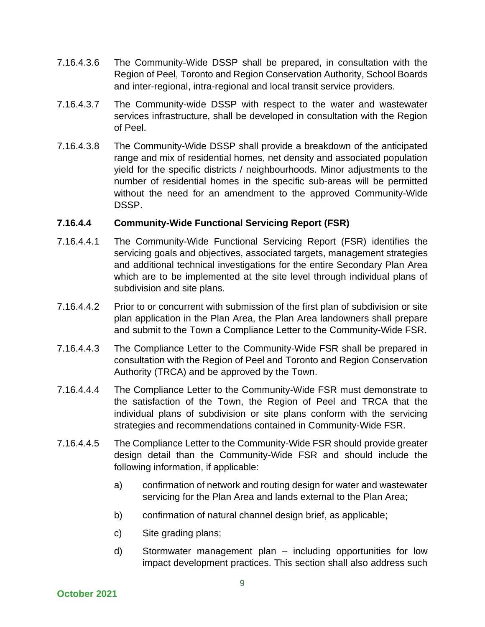- 7.16.4.3.6 The Community-Wide DSSP shall be prepared, in consultation with the Region of Peel, Toronto and Region Conservation Authority, School Boards and inter-regional, intra-regional and local transit service providers.
- 7.16.4.3.7 The Community-wide DSSP with respect to the water and wastewater services infrastructure, shall be developed in consultation with the Region of Peel.
- 7.16.4.3.8 The Community-Wide DSSP shall provide a breakdown of the anticipated range and mix of residential homes, net density and associated population yield for the specific districts / neighbourhoods. Minor adjustments to the number of residential homes in the specific sub-areas will be permitted without the need for an amendment to the approved Community-Wide DSSP.

#### **7.16.4.4 Community-Wide Functional Servicing Report (FSR)**

- 7.16.4.4.1 The Community-Wide Functional Servicing Report (FSR) identifies the servicing goals and objectives, associated targets, management strategies and additional technical investigations for the entire Secondary Plan Area which are to be implemented at the site level through individual plans of subdivision and site plans.
- 7.16.4.4.2 Prior to or concurrent with submission of the first plan of subdivision or site plan application in the Plan Area, the Plan Area landowners shall prepare and submit to the Town a Compliance Letter to the Community-Wide FSR.
- 7.16.4.4.3 The Compliance Letter to the Community-Wide FSR shall be prepared in consultation with the Region of Peel and Toronto and Region Conservation Authority (TRCA) and be approved by the Town.
- 7.16.4.4.4 The Compliance Letter to the Community-Wide FSR must demonstrate to the satisfaction of the Town, the Region of Peel and TRCA that the individual plans of subdivision or site plans conform with the servicing strategies and recommendations contained in Community-Wide FSR.
- 7.16.4.4.5 The Compliance Letter to the Community-Wide FSR should provide greater design detail than the Community-Wide FSR and should include the following information, if applicable:
	- a) confirmation of network and routing design for water and wastewater servicing for the Plan Area and lands external to the Plan Area;
	- b) confirmation of natural channel design brief, as applicable;
	- c) Site grading plans;
	- d) Stormwater management plan including opportunities for low impact development practices. This section shall also address such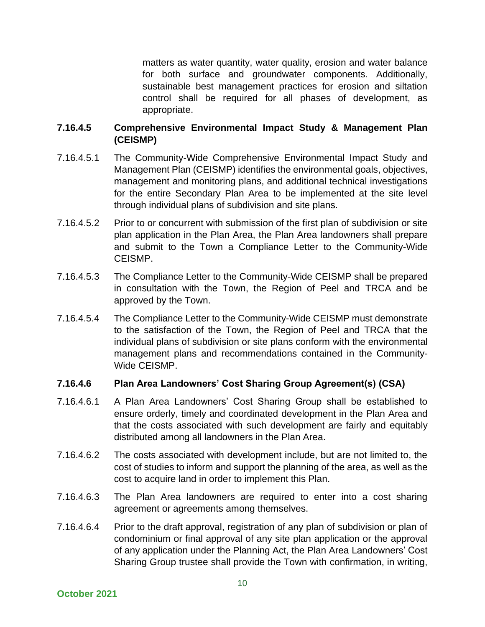matters as water quantity, water quality, erosion and water balance for both surface and groundwater components. Additionally, sustainable best management practices for erosion and siltation control shall be required for all phases of development, as appropriate.

# **7.16.4.5 Comprehensive Environmental Impact Study & Management Plan (CEISMP)**

- 7.16.4.5.1 The Community-Wide Comprehensive Environmental Impact Study and Management Plan (CEISMP) identifies the environmental goals, objectives, management and monitoring plans, and additional technical investigations for the entire Secondary Plan Area to be implemented at the site level through individual plans of subdivision and site plans.
- 7.16.4.5.2 Prior to or concurrent with submission of the first plan of subdivision or site plan application in the Plan Area, the Plan Area landowners shall prepare and submit to the Town a Compliance Letter to the Community-Wide CEISMP.
- 7.16.4.5.3 The Compliance Letter to the Community-Wide CEISMP shall be prepared in consultation with the Town, the Region of Peel and TRCA and be approved by the Town.
- 7.16.4.5.4 The Compliance Letter to the Community-Wide CEISMP must demonstrate to the satisfaction of the Town, the Region of Peel and TRCA that the individual plans of subdivision or site plans conform with the environmental management plans and recommendations contained in the Community-Wide CEISMP.

#### **7.16.4.6 Plan Area Landowners' Cost Sharing Group Agreement(s) (CSA)**

- 7.16.4.6.1 A Plan Area Landowners' Cost Sharing Group shall be established to ensure orderly, timely and coordinated development in the Plan Area and that the costs associated with such development are fairly and equitably distributed among all landowners in the Plan Area.
- 7.16.4.6.2 The costs associated with development include, but are not limited to, the cost of studies to inform and support the planning of the area, as well as the cost to acquire land in order to implement this Plan.
- 7.16.4.6.3 The Plan Area landowners are required to enter into a cost sharing agreement or agreements among themselves.
- 7.16.4.6.4 Prior to the draft approval, registration of any plan of subdivision or plan of condominium or final approval of any site plan application or the approval of any application under the Planning Act, the Plan Area Landowners' Cost Sharing Group trustee shall provide the Town with confirmation, in writing,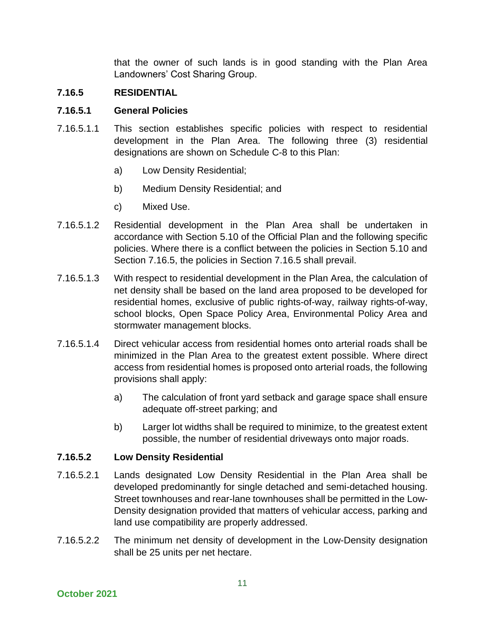that the owner of such lands is in good standing with the Plan Area Landowners' Cost Sharing Group.

# **7.16.5 RESIDENTIAL**

#### **7.16.5.1 General Policies**

- 7.16.5.1.1 This section establishes specific policies with respect to residential development in the Plan Area. The following three (3) residential designations are shown on Schedule C-8 to this Plan:
	- a) Low Density Residential;
	- b) Medium Density Residential; and
	- c) Mixed Use.
- 7.16.5.1.2 Residential development in the Plan Area shall be undertaken in accordance with Section 5.10 of the Official Plan and the following specific policies. Where there is a conflict between the policies in Section 5.10 and Section 7.16.5, the policies in Section 7.16.5 shall prevail.
- 7.16.5.1.3 With respect to residential development in the Plan Area, the calculation of net density shall be based on the land area proposed to be developed for residential homes, exclusive of public rights-of-way, railway rights-of-way, school blocks, Open Space Policy Area, Environmental Policy Area and stormwater management blocks.
- 7.16.5.1.4 Direct vehicular access from residential homes onto arterial roads shall be minimized in the Plan Area to the greatest extent possible. Where direct access from residential homes is proposed onto arterial roads, the following provisions shall apply:
	- a) The calculation of front yard setback and garage space shall ensure adequate off-street parking; and
	- b) Larger lot widths shall be required to minimize, to the greatest extent possible, the number of residential driveways onto major roads.

#### **7.16.5.2 Low Density Residential**

- 7.16.5.2.1 Lands designated Low Density Residential in the Plan Area shall be developed predominantly for single detached and semi-detached housing. Street townhouses and rear-lane townhouses shall be permitted in the Low-Density designation provided that matters of vehicular access, parking and land use compatibility are properly addressed.
- 7.16.5.2.2 The minimum net density of development in the Low-Density designation shall be 25 units per net hectare.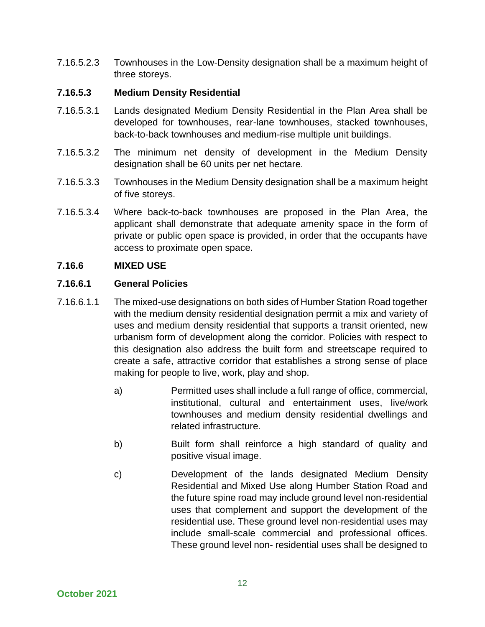7.16.5.2.3 Townhouses in the Low-Density designation shall be a maximum height of three storeys.

### **7.16.5.3 Medium Density Residential**

- 7.16.5.3.1 Lands designated Medium Density Residential in the Plan Area shall be developed for townhouses, rear-lane townhouses, stacked townhouses, back-to-back townhouses and medium-rise multiple unit buildings.
- 7.16.5.3.2 The minimum net density of development in the Medium Density designation shall be 60 units per net hectare.
- 7.16.5.3.3 Townhouses in the Medium Density designation shall be a maximum height of five storeys.
- 7.16.5.3.4 Where back-to-back townhouses are proposed in the Plan Area, the applicant shall demonstrate that adequate amenity space in the form of private or public open space is provided, in order that the occupants have access to proximate open space.

# **7.16.6 MIXED USE**

#### **7.16.6.1 General Policies**

- 7.16.6.1.1 The mixed-use designations on both sides of Humber Station Road together with the medium density residential designation permit a mix and variety of uses and medium density residential that supports a transit oriented, new urbanism form of development along the corridor. Policies with respect to this designation also address the built form and streetscape required to create a safe, attractive corridor that establishes a strong sense of place making for people to live, work, play and shop.
	- a) Permitted uses shall include a full range of office, commercial, institutional, cultural and entertainment uses, live/work townhouses and medium density residential dwellings and related infrastructure.
	- b) Built form shall reinforce a high standard of quality and positive visual image.
	- c) Development of the lands designated Medium Density Residential and Mixed Use along Humber Station Road and the future spine road may include ground level non-residential uses that complement and support the development of the residential use. These ground level non-residential uses may include small-scale commercial and professional offices. These ground level non- residential uses shall be designed to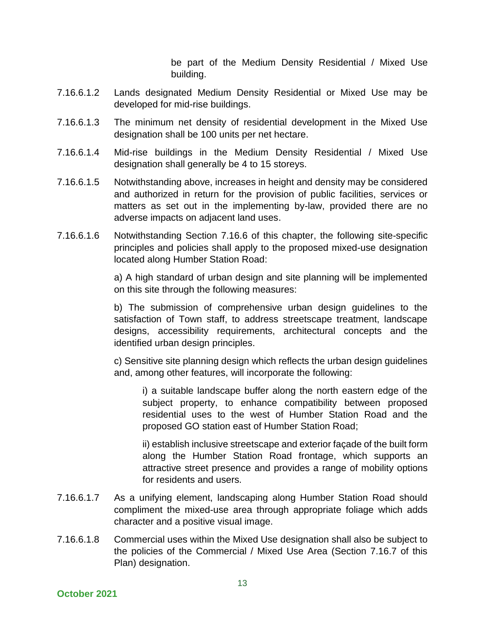be part of the Medium Density Residential / Mixed Use building.

- 7.16.6.1.2 Lands designated Medium Density Residential or Mixed Use may be developed for mid-rise buildings.
- 7.16.6.1.3 The minimum net density of residential development in the Mixed Use designation shall be 100 units per net hectare.
- 7.16.6.1.4 Mid-rise buildings in the Medium Density Residential / Mixed Use designation shall generally be 4 to 15 storeys.
- 7.16.6.1.5 Notwithstanding above, increases in height and density may be considered and authorized in return for the provision of public facilities, services or matters as set out in the implementing by-law, provided there are no adverse impacts on adjacent land uses.
- 7.16.6.1.6 Notwithstanding Section 7.16.6 of this chapter, the following site-specific principles and policies shall apply to the proposed mixed-use designation located along Humber Station Road:

a) A high standard of urban design and site planning will be implemented on this site through the following measures:

b) The submission of comprehensive urban design guidelines to the satisfaction of Town staff, to address streetscape treatment, landscape designs, accessibility requirements, architectural concepts and the identified urban design principles.

c) Sensitive site planning design which reflects the urban design guidelines and, among other features, will incorporate the following:

i) a suitable landscape buffer along the north eastern edge of the subject property, to enhance compatibility between proposed residential uses to the west of Humber Station Road and the proposed GO station east of Humber Station Road;

ii) establish inclusive streetscape and exterior façade of the built form along the Humber Station Road frontage, which supports an attractive street presence and provides a range of mobility options for residents and users.

- 7.16.6.1.7 As a unifying element, landscaping along Humber Station Road should compliment the mixed-use area through appropriate foliage which adds character and a positive visual image.
- 7.16.6.1.8 Commercial uses within the Mixed Use designation shall also be subject to the policies of the Commercial / Mixed Use Area (Section 7.16.7 of this Plan) designation.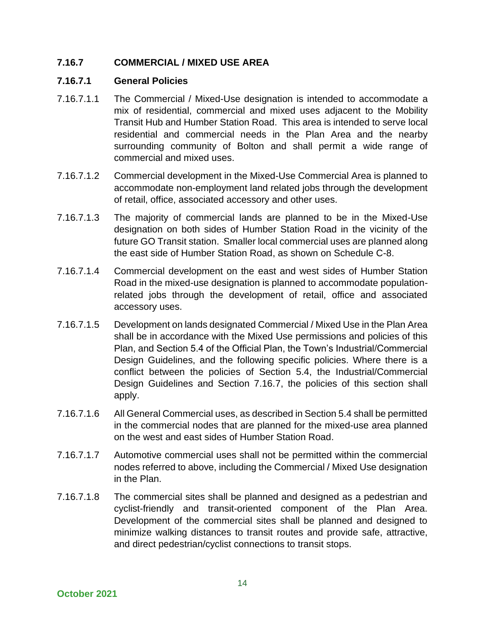# **7.16.7 COMMERCIAL / MIXED USE AREA**

#### **7.16.7.1 General Policies**

- 7.16.7.1.1 The Commercial / Mixed-Use designation is intended to accommodate a mix of residential, commercial and mixed uses adjacent to the Mobility Transit Hub and Humber Station Road. This area is intended to serve local residential and commercial needs in the Plan Area and the nearby surrounding community of Bolton and shall permit a wide range of commercial and mixed uses.
- 7.16.7.1.2 Commercial development in the Mixed-Use Commercial Area is planned to accommodate non-employment land related jobs through the development of retail, office, associated accessory and other uses.
- 7.16.7.1.3 The majority of commercial lands are planned to be in the Mixed-Use designation on both sides of Humber Station Road in the vicinity of the future GO Transit station. Smaller local commercial uses are planned along the east side of Humber Station Road, as shown on Schedule C-8.
- 7.16.7.1.4 Commercial development on the east and west sides of Humber Station Road in the mixed-use designation is planned to accommodate populationrelated jobs through the development of retail, office and associated accessory uses.
- 7.16.7.1.5 Development on lands designated Commercial / Mixed Use in the Plan Area shall be in accordance with the Mixed Use permissions and policies of this Plan, and Section 5.4 of the Official Plan, the Town's Industrial/Commercial Design Guidelines, and the following specific policies. Where there is a conflict between the policies of Section 5.4, the Industrial/Commercial Design Guidelines and Section 7.16.7, the policies of this section shall apply.
- 7.16.7.1.6 All General Commercial uses, as described in Section 5.4 shall be permitted in the commercial nodes that are planned for the mixed-use area planned on the west and east sides of Humber Station Road.
- 7.16.7.1.7 Automotive commercial uses shall not be permitted within the commercial nodes referred to above, including the Commercial / Mixed Use designation in the Plan.
- 7.16.7.1.8 The commercial sites shall be planned and designed as a pedestrian and cyclist-friendly and transit-oriented component of the Plan Area. Development of the commercial sites shall be planned and designed to minimize walking distances to transit routes and provide safe, attractive, and direct pedestrian/cyclist connections to transit stops.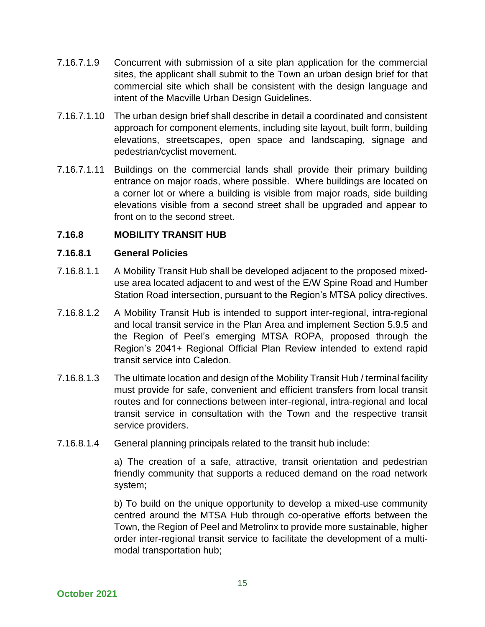- 7.16.7.1.9 Concurrent with submission of a site plan application for the commercial sites, the applicant shall submit to the Town an urban design brief for that commercial site which shall be consistent with the design language and intent of the Macville Urban Design Guidelines.
- 7.16.7.1.10 The urban design brief shall describe in detail a coordinated and consistent approach for component elements, including site layout, built form, building elevations, streetscapes, open space and landscaping, signage and pedestrian/cyclist movement.
- 7.16.7.1.11 Buildings on the commercial lands shall provide their primary building entrance on major roads, where possible. Where buildings are located on a corner lot or where a building is visible from major roads, side building elevations visible from a second street shall be upgraded and appear to front on to the second street.

# **7.16.8 MOBILITY TRANSIT HUB**

# **7.16.8.1 General Policies**

- 7.16.8.1.1 A Mobility Transit Hub shall be developed adjacent to the proposed mixeduse area located adjacent to and west of the E/W Spine Road and Humber Station Road intersection, pursuant to the Region's MTSA policy directives.
- 7.16.8.1.2 A Mobility Transit Hub is intended to support inter-regional, intra-regional and local transit service in the Plan Area and implement Section 5.9.5 and the Region of Peel's emerging MTSA ROPA, proposed through the Region's 2041+ Regional Official Plan Review intended to extend rapid transit service into Caledon.
- 7.16.8.1.3 The ultimate location and design of the Mobility Transit Hub / terminal facility must provide for safe, convenient and efficient transfers from local transit routes and for connections between inter-regional, intra-regional and local transit service in consultation with the Town and the respective transit service providers.
- 7.16.8.1.4 General planning principals related to the transit hub include:

a) The creation of a safe, attractive, transit orientation and pedestrian friendly community that supports a reduced demand on the road network system;

b) To build on the unique opportunity to develop a mixed-use community centred around the MTSA Hub through co-operative efforts between the Town, the Region of Peel and Metrolinx to provide more sustainable, higher order inter-regional transit service to facilitate the development of a multimodal transportation hub;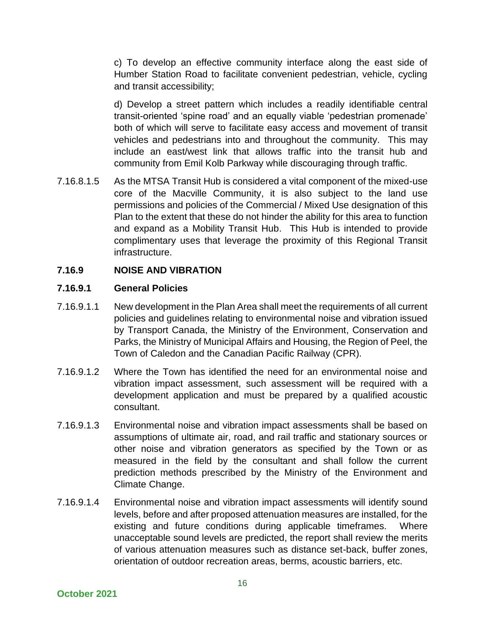c) To develop an effective community interface along the east side of Humber Station Road to facilitate convenient pedestrian, vehicle, cycling and transit accessibility;

d) Develop a street pattern which includes a readily identifiable central transit-oriented 'spine road' and an equally viable 'pedestrian promenade' both of which will serve to facilitate easy access and movement of transit vehicles and pedestrians into and throughout the community. This may include an east/west link that allows traffic into the transit hub and community from Emil Kolb Parkway while discouraging through traffic.

7.16.8.1.5 As the MTSA Transit Hub is considered a vital component of the mixed-use core of the Macville Community, it is also subject to the land use permissions and policies of the Commercial / Mixed Use designation of this Plan to the extent that these do not hinder the ability for this area to function and expand as a Mobility Transit Hub. This Hub is intended to provide complimentary uses that leverage the proximity of this Regional Transit infrastructure.

# **7.16.9 NOISE AND VIBRATION**

#### **7.16.9.1 General Policies**

- 7.16.9.1.1 New development in the Plan Area shall meet the requirements of all current policies and guidelines relating to environmental noise and vibration issued by Transport Canada, the Ministry of the Environment, Conservation and Parks, the Ministry of Municipal Affairs and Housing, the Region of Peel, the Town of Caledon and the Canadian Pacific Railway (CPR).
- 7.16.9.1.2 Where the Town has identified the need for an environmental noise and vibration impact assessment, such assessment will be required with a development application and must be prepared by a qualified acoustic consultant.
- 7.16.9.1.3 Environmental noise and vibration impact assessments shall be based on assumptions of ultimate air, road, and rail traffic and stationary sources or other noise and vibration generators as specified by the Town or as measured in the field by the consultant and shall follow the current prediction methods prescribed by the Ministry of the Environment and Climate Change.
- 7.16.9.1.4 Environmental noise and vibration impact assessments will identify sound levels, before and after proposed attenuation measures are installed, for the existing and future conditions during applicable timeframes. Where unacceptable sound levels are predicted, the report shall review the merits of various attenuation measures such as distance set-back, buffer zones, orientation of outdoor recreation areas, berms, acoustic barriers, etc.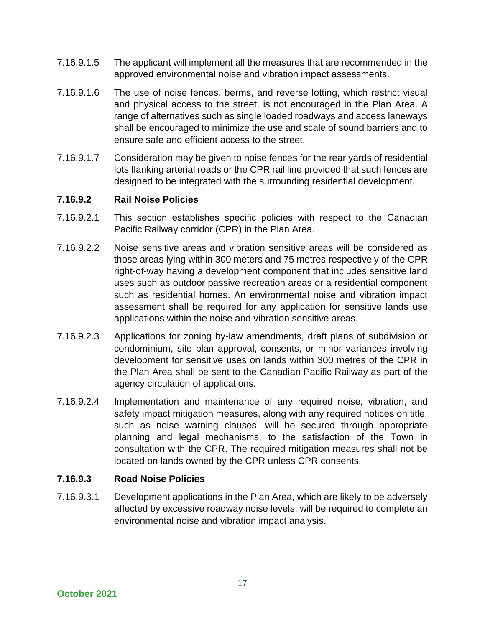- 7.16.9.1.5 The applicant will implement all the measures that are recommended in the approved environmental noise and vibration impact assessments.
- 7.16.9.1.6 The use of noise fences, berms, and reverse lotting, which restrict visual and physical access to the street, is not encouraged in the Plan Area. A range of alternatives such as single loaded roadways and access laneways shall be encouraged to minimize the use and scale of sound barriers and to ensure safe and efficient access to the street.
- 7.16.9.1.7 Consideration may be given to noise fences for the rear yards of residential lots flanking arterial roads or the CPR rail line provided that such fences are designed to be integrated with the surrounding residential development.

# **7.16.9.2 Rail Noise Policies**

- 7.16.9.2.1 This section establishes specific policies with respect to the Canadian Pacific Railway corridor (CPR) in the Plan Area.
- 7.16.9.2.2 Noise sensitive areas and vibration sensitive areas will be considered as those areas lying within 300 meters and 75 metres respectively of the CPR right-of-way having a development component that includes sensitive land uses such as outdoor passive recreation areas or a residential component such as residential homes. An environmental noise and vibration impact assessment shall be required for any application for sensitive lands use applications within the noise and vibration sensitive areas.
- 7.16.9.2.3 Applications for zoning by-law amendments, draft plans of subdivision or condominium, site plan approval, consents, or minor variances involving development for sensitive uses on lands within 300 metres of the CPR in the Plan Area shall be sent to the Canadian Pacific Railway as part of the agency circulation of applications.
- 7.16.9.2.4 Implementation and maintenance of any required noise, vibration, and safety impact mitigation measures, along with any required notices on title, such as noise warning clauses, will be secured through appropriate planning and legal mechanisms, to the satisfaction of the Town in consultation with the CPR. The required mitigation measures shall not be located on lands owned by the CPR unless CPR consents.

#### **7.16.9.3 Road Noise Policies**

7.16.9.3.1 Development applications in the Plan Area, which are likely to be adversely affected by excessive roadway noise levels, will be required to complete an environmental noise and vibration impact analysis.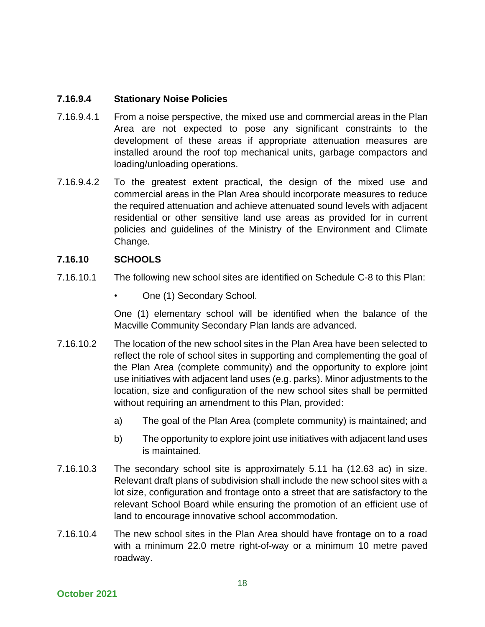### **7.16.9.4 Stationary Noise Policies**

- 7.16.9.4.1 From a noise perspective, the mixed use and commercial areas in the Plan Area are not expected to pose any significant constraints to the development of these areas if appropriate attenuation measures are installed around the roof top mechanical units, garbage compactors and loading/unloading operations.
- 7.16.9.4.2 To the greatest extent practical, the design of the mixed use and commercial areas in the Plan Area should incorporate measures to reduce the required attenuation and achieve attenuated sound levels with adjacent residential or other sensitive land use areas as provided for in current policies and guidelines of the Ministry of the Environment and Climate Change.

# **7.16.10 SCHOOLS**

- 7.16.10.1 The following new school sites are identified on Schedule C-8 to this Plan:
	- One (1) Secondary School.

One (1) elementary school will be identified when the balance of the Macville Community Secondary Plan lands are advanced.

- 7.16.10.2 The location of the new school sites in the Plan Area have been selected to reflect the role of school sites in supporting and complementing the goal of the Plan Area (complete community) and the opportunity to explore joint use initiatives with adjacent land uses (e.g. parks). Minor adjustments to the location, size and configuration of the new school sites shall be permitted without requiring an amendment to this Plan, provided:
	- a) The goal of the Plan Area (complete community) is maintained; and
	- b) The opportunity to explore joint use initiatives with adjacent land uses is maintained.
- 7.16.10.3 The secondary school site is approximately 5.11 ha (12.63 ac) in size. Relevant draft plans of subdivision shall include the new school sites with a lot size, configuration and frontage onto a street that are satisfactory to the relevant School Board while ensuring the promotion of an efficient use of land to encourage innovative school accommodation.
- 7.16.10.4 The new school sites in the Plan Area should have frontage on to a road with a minimum 22.0 metre right-of-way or a minimum 10 metre paved roadway.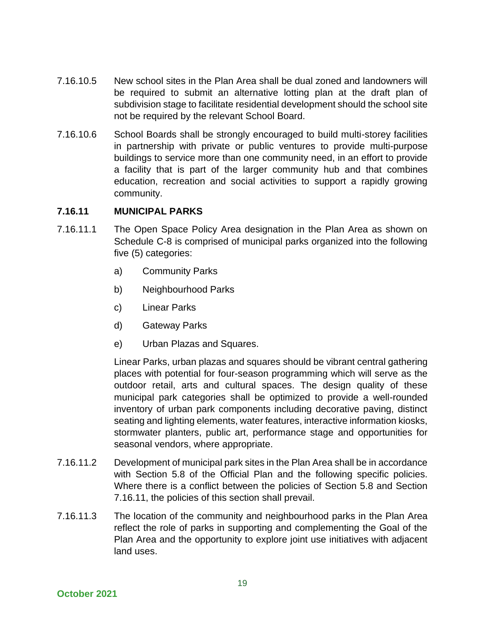- 7.16.10.5 New school sites in the Plan Area shall be dual zoned and landowners will be required to submit an alternative lotting plan at the draft plan of subdivision stage to facilitate residential development should the school site not be required by the relevant School Board.
- 7.16.10.6 School Boards shall be strongly encouraged to build multi-storey facilities in partnership with private or public ventures to provide multi-purpose buildings to service more than one community need, in an effort to provide a facility that is part of the larger community hub and that combines education, recreation and social activities to support a rapidly growing community.

#### **7.16.11 MUNICIPAL PARKS**

- 7.16.11.1 The Open Space Policy Area designation in the Plan Area as shown on Schedule C-8 is comprised of municipal parks organized into the following five (5) categories:
	- a) Community Parks
	- b) Neighbourhood Parks
	- c) Linear Parks
	- d) Gateway Parks
	- e) Urban Plazas and Squares.

Linear Parks, urban plazas and squares should be vibrant central gathering places with potential for four-season programming which will serve as the outdoor retail, arts and cultural spaces. The design quality of these municipal park categories shall be optimized to provide a well-rounded inventory of urban park components including decorative paving, distinct seating and lighting elements, water features, interactive information kiosks, stormwater planters, public art, performance stage and opportunities for seasonal vendors, where appropriate.

- 7.16.11.2 Development of municipal park sites in the Plan Area shall be in accordance with Section 5.8 of the Official Plan and the following specific policies. Where there is a conflict between the policies of Section 5.8 and Section 7.16.11, the policies of this section shall prevail.
- 7.16.11.3 The location of the community and neighbourhood parks in the Plan Area reflect the role of parks in supporting and complementing the Goal of the Plan Area and the opportunity to explore joint use initiatives with adjacent land uses.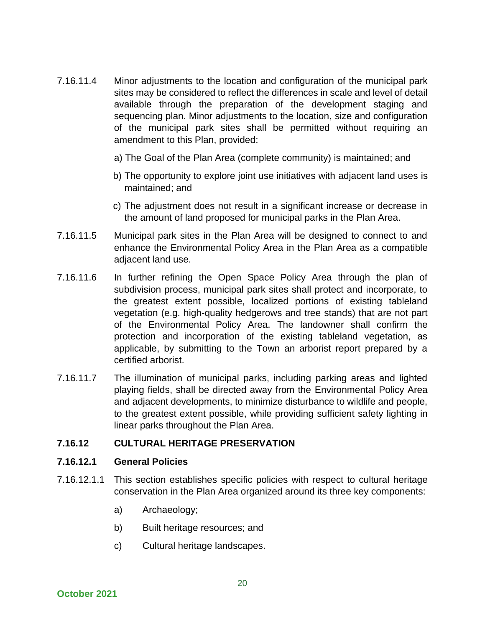- 7.16.11.4 Minor adjustments to the location and configuration of the municipal park sites may be considered to reflect the differences in scale and level of detail available through the preparation of the development staging and sequencing plan. Minor adjustments to the location, size and configuration of the municipal park sites shall be permitted without requiring an amendment to this Plan, provided:
	- a) The Goal of the Plan Area (complete community) is maintained; and
	- b) The opportunity to explore joint use initiatives with adjacent land uses is maintained; and
	- c) The adjustment does not result in a significant increase or decrease in the amount of land proposed for municipal parks in the Plan Area.
- 7.16.11.5 Municipal park sites in the Plan Area will be designed to connect to and enhance the Environmental Policy Area in the Plan Area as a compatible adjacent land use.
- 7.16.11.6 In further refining the Open Space Policy Area through the plan of subdivision process, municipal park sites shall protect and incorporate, to the greatest extent possible, localized portions of existing tableland vegetation (e.g. high-quality hedgerows and tree stands) that are not part of the Environmental Policy Area. The landowner shall confirm the protection and incorporation of the existing tableland vegetation, as applicable, by submitting to the Town an arborist report prepared by a certified arborist.
- 7.16.11.7 The illumination of municipal parks, including parking areas and lighted playing fields, shall be directed away from the Environmental Policy Area and adjacent developments, to minimize disturbance to wildlife and people, to the greatest extent possible, while providing sufficient safety lighting in linear parks throughout the Plan Area.

#### **7.16.12 CULTURAL HERITAGE PRESERVATION**

#### **7.16.12.1 General Policies**

- 7.16.12.1.1 This section establishes specific policies with respect to cultural heritage conservation in the Plan Area organized around its three key components:
	- a) Archaeology;
	- b) Built heritage resources; and
	- c) Cultural heritage landscapes.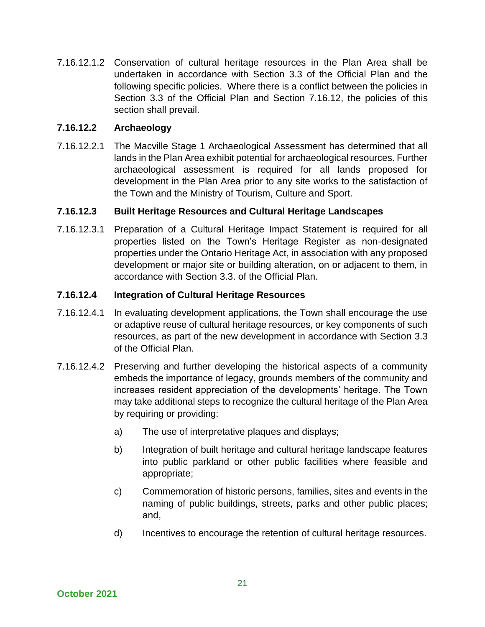7.16.12.1.2 Conservation of cultural heritage resources in the Plan Area shall be undertaken in accordance with Section 3.3 of the Official Plan and the following specific policies. Where there is a conflict between the policies in Section 3.3 of the Official Plan and Section 7.16.12, the policies of this section shall prevail.

### **7.16.12.2 Archaeology**

7.16.12.2.1 The Macville Stage 1 Archaeological Assessment has determined that all lands in the Plan Area exhibit potential for archaeological resources. Further archaeological assessment is required for all lands proposed for development in the Plan Area prior to any site works to the satisfaction of the Town and the Ministry of Tourism, Culture and Sport.

#### **7.16.12.3 Built Heritage Resources and Cultural Heritage Landscapes**

7.16.12.3.1 Preparation of a Cultural Heritage Impact Statement is required for all properties listed on the Town's Heritage Register as non-designated properties under the Ontario Heritage Act, in association with any proposed development or major site or building alteration, on or adjacent to them, in accordance with Section 3.3. of the Official Plan.

#### **7.16.12.4 Integration of Cultural Heritage Resources**

- 7.16.12.4.1 In evaluating development applications, the Town shall encourage the use or adaptive reuse of cultural heritage resources, or key components of such resources, as part of the new development in accordance with Section 3.3 of the Official Plan.
- 7.16.12.4.2 Preserving and further developing the historical aspects of a community embeds the importance of legacy, grounds members of the community and increases resident appreciation of the developments' heritage. The Town may take additional steps to recognize the cultural heritage of the Plan Area by requiring or providing:
	- a) The use of interpretative plaques and displays;
	- b) Integration of built heritage and cultural heritage landscape features into public parkland or other public facilities where feasible and appropriate;
	- c) Commemoration of historic persons, families, sites and events in the naming of public buildings, streets, parks and other public places; and,
	- d) Incentives to encourage the retention of cultural heritage resources.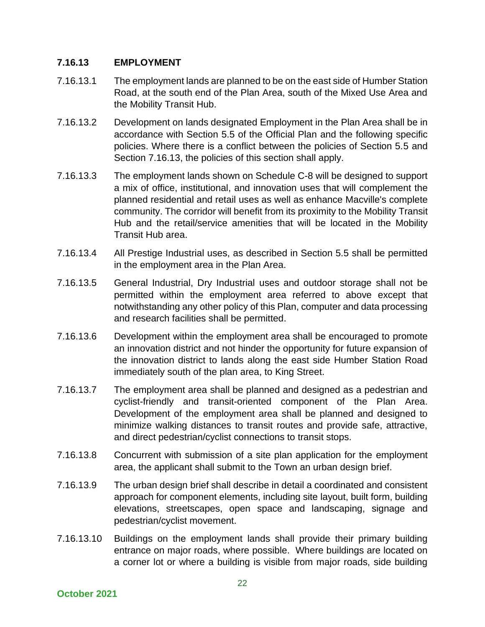#### **7.16.13 EMPLOYMENT**

- 7.16.13.1 The employment lands are planned to be on the east side of Humber Station Road, at the south end of the Plan Area, south of the Mixed Use Area and the Mobility Transit Hub.
- 7.16.13.2 Development on lands designated Employment in the Plan Area shall be in accordance with Section 5.5 of the Official Plan and the following specific policies. Where there is a conflict between the policies of Section 5.5 and Section 7.16.13, the policies of this section shall apply.
- 7.16.13.3 The employment lands shown on Schedule C-8 will be designed to support a mix of office, institutional, and innovation uses that will complement the planned residential and retail uses as well as enhance Macville's complete community. The corridor will benefit from its proximity to the Mobility Transit Hub and the retail/service amenities that will be located in the Mobility Transit Hub area.
- 7.16.13.4 All Prestige Industrial uses, as described in Section 5.5 shall be permitted in the employment area in the Plan Area.
- 7.16.13.5 General Industrial, Dry Industrial uses and outdoor storage shall not be permitted within the employment area referred to above except that notwithstanding any other policy of this Plan, computer and data processing and research facilities shall be permitted.
- 7.16.13.6 Development within the employment area shall be encouraged to promote an innovation district and not hinder the opportunity for future expansion of the innovation district to lands along the east side Humber Station Road immediately south of the plan area, to King Street.
- 7.16.13.7 The employment area shall be planned and designed as a pedestrian and cyclist-friendly and transit-oriented component of the Plan Area. Development of the employment area shall be planned and designed to minimize walking distances to transit routes and provide safe, attractive, and direct pedestrian/cyclist connections to transit stops.
- 7.16.13.8 Concurrent with submission of a site plan application for the employment area, the applicant shall submit to the Town an urban design brief.
- 7.16.13.9 The urban design brief shall describe in detail a coordinated and consistent approach for component elements, including site layout, built form, building elevations, streetscapes, open space and landscaping, signage and pedestrian/cyclist movement.
- 7.16.13.10 Buildings on the employment lands shall provide their primary building entrance on major roads, where possible. Where buildings are located on a corner lot or where a building is visible from major roads, side building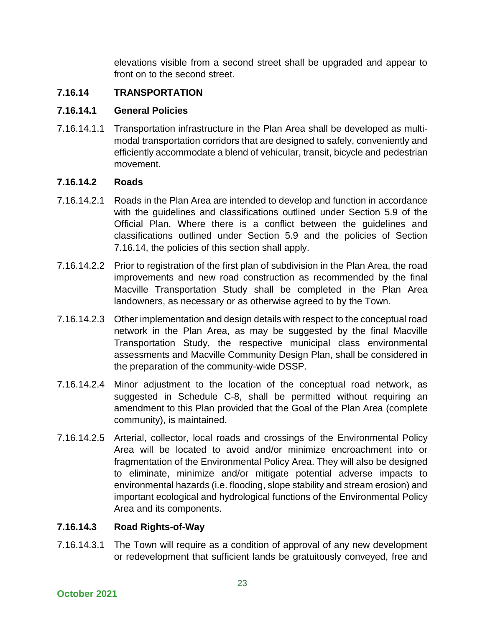elevations visible from a second street shall be upgraded and appear to front on to the second street.

# **7.16.14 TRANSPORTATION**

# **7.16.14.1 General Policies**

7.16.14.1.1 Transportation infrastructure in the Plan Area shall be developed as multimodal transportation corridors that are designed to safely, conveniently and efficiently accommodate a blend of vehicular, transit, bicycle and pedestrian movement.

# **7.16.14.2 Roads**

- 7.16.14.2.1 Roads in the Plan Area are intended to develop and function in accordance with the guidelines and classifications outlined under Section 5.9 of the Official Plan. Where there is a conflict between the guidelines and classifications outlined under Section 5.9 and the policies of Section 7.16.14, the policies of this section shall apply.
- 7.16.14.2.2 Prior to registration of the first plan of subdivision in the Plan Area, the road improvements and new road construction as recommended by the final Macville Transportation Study shall be completed in the Plan Area landowners, as necessary or as otherwise agreed to by the Town.
- 7.16.14.2.3 Other implementation and design details with respect to the conceptual road network in the Plan Area, as may be suggested by the final Macville Transportation Study, the respective municipal class environmental assessments and Macville Community Design Plan, shall be considered in the preparation of the community-wide DSSP.
- 7.16.14.2.4 Minor adjustment to the location of the conceptual road network, as suggested in Schedule C-8, shall be permitted without requiring an amendment to this Plan provided that the Goal of the Plan Area (complete community), is maintained.
- 7.16.14.2.5 Arterial, collector, local roads and crossings of the Environmental Policy Area will be located to avoid and/or minimize encroachment into or fragmentation of the Environmental Policy Area. They will also be designed to eliminate, minimize and/or mitigate potential adverse impacts to environmental hazards (i.e. flooding, slope stability and stream erosion) and important ecological and hydrological functions of the Environmental Policy Area and its components.

# **7.16.14.3 Road Rights-of-Way**

7.16.14.3.1 The Town will require as a condition of approval of any new development or redevelopment that sufficient lands be gratuitously conveyed, free and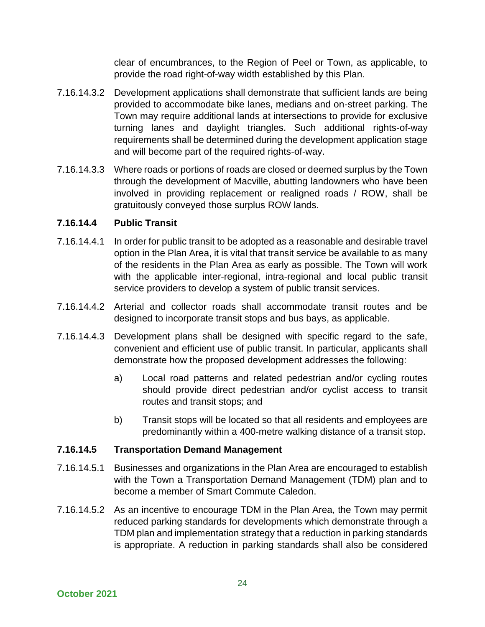clear of encumbrances, to the Region of Peel or Town, as applicable, to provide the road right-of-way width established by this Plan.

- 7.16.14.3.2 Development applications shall demonstrate that sufficient lands are being provided to accommodate bike lanes, medians and on-street parking. The Town may require additional lands at intersections to provide for exclusive turning lanes and daylight triangles. Such additional rights-of-way requirements shall be determined during the development application stage and will become part of the required rights-of-way.
- 7.16.14.3.3 Where roads or portions of roads are closed or deemed surplus by the Town through the development of Macville, abutting landowners who have been involved in providing replacement or realigned roads / ROW, shall be gratuitously conveyed those surplus ROW lands.

# **7.16.14.4 Public Transit**

- 7.16.14.4.1 In order for public transit to be adopted as a reasonable and desirable travel option in the Plan Area, it is vital that transit service be available to as many of the residents in the Plan Area as early as possible. The Town will work with the applicable inter-regional, intra-regional and local public transit service providers to develop a system of public transit services.
- 7.16.14.4.2 Arterial and collector roads shall accommodate transit routes and be designed to incorporate transit stops and bus bays, as applicable.
- 7.16.14.4.3 Development plans shall be designed with specific regard to the safe, convenient and efficient use of public transit. In particular, applicants shall demonstrate how the proposed development addresses the following:
	- a) Local road patterns and related pedestrian and/or cycling routes should provide direct pedestrian and/or cyclist access to transit routes and transit stops; and
	- b) Transit stops will be located so that all residents and employees are predominantly within a 400-metre walking distance of a transit stop.

#### **7.16.14.5 Transportation Demand Management**

- 7.16.14.5.1 Businesses and organizations in the Plan Area are encouraged to establish with the Town a Transportation Demand Management (TDM) plan and to become a member of Smart Commute Caledon.
- 7.16.14.5.2 As an incentive to encourage TDM in the Plan Area, the Town may permit reduced parking standards for developments which demonstrate through a TDM plan and implementation strategy that a reduction in parking standards is appropriate. A reduction in parking standards shall also be considered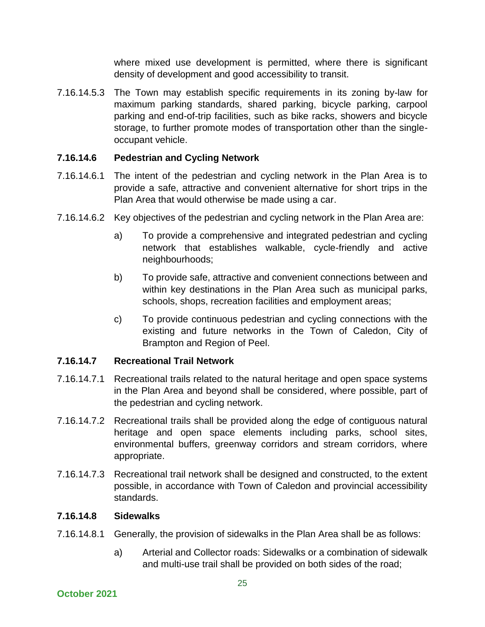where mixed use development is permitted, where there is significant density of development and good accessibility to transit.

7.16.14.5.3 The Town may establish specific requirements in its zoning by-law for maximum parking standards, shared parking, bicycle parking, carpool parking and end-of-trip facilities, such as bike racks, showers and bicycle storage, to further promote modes of transportation other than the singleoccupant vehicle.

# **7.16.14.6 Pedestrian and Cycling Network**

- 7.16.14.6.1 The intent of the pedestrian and cycling network in the Plan Area is to provide a safe, attractive and convenient alternative for short trips in the Plan Area that would otherwise be made using a car.
- 7.16.14.6.2 Key objectives of the pedestrian and cycling network in the Plan Area are:
	- a) To provide a comprehensive and integrated pedestrian and cycling network that establishes walkable, cycle-friendly and active neighbourhoods;
	- b) To provide safe, attractive and convenient connections between and within key destinations in the Plan Area such as municipal parks, schools, shops, recreation facilities and employment areas;
	- c) To provide continuous pedestrian and cycling connections with the existing and future networks in the Town of Caledon, City of Brampton and Region of Peel.

# **7.16.14.7 Recreational Trail Network**

- 7.16.14.7.1 Recreational trails related to the natural heritage and open space systems in the Plan Area and beyond shall be considered, where possible, part of the pedestrian and cycling network.
- 7.16.14.7.2 Recreational trails shall be provided along the edge of contiguous natural heritage and open space elements including parks, school sites, environmental buffers, greenway corridors and stream corridors, where appropriate.
- 7.16.14.7.3 Recreational trail network shall be designed and constructed, to the extent possible, in accordance with Town of Caledon and provincial accessibility standards.

#### **7.16.14.8 Sidewalks**

- 7.16.14.8.1 Generally, the provision of sidewalks in the Plan Area shall be as follows:
	- a) Arterial and Collector roads: Sidewalks or a combination of sidewalk and multi-use trail shall be provided on both sides of the road;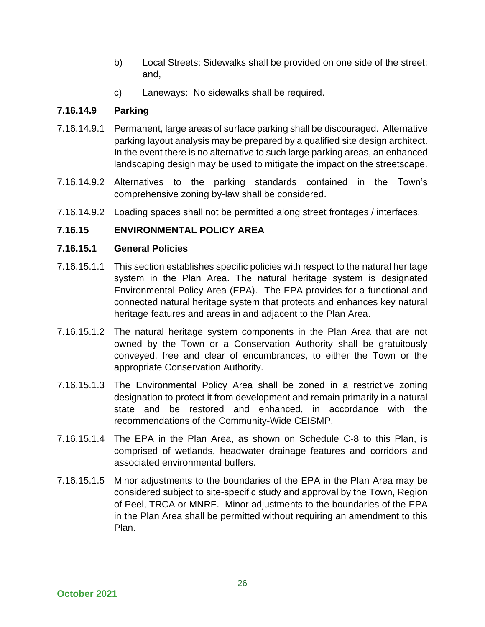- b) Local Streets: Sidewalks shall be provided on one side of the street; and,
- c) Laneways: No sidewalks shall be required.

# **7.16.14.9 Parking**

- 7.16.14.9.1 Permanent, large areas of surface parking shall be discouraged. Alternative parking layout analysis may be prepared by a qualified site design architect. In the event there is no alternative to such large parking areas, an enhanced landscaping design may be used to mitigate the impact on the streetscape.
- 7.16.14.9.2 Alternatives to the parking standards contained in the Town's comprehensive zoning by-law shall be considered.
- 7.16.14.9.2 Loading spaces shall not be permitted along street frontages / interfaces.

# **7.16.15 ENVIRONMENTAL POLICY AREA**

# **7.16.15.1 General Policies**

- 7.16.15.1.1 This section establishes specific policies with respect to the natural heritage system in the Plan Area. The natural heritage system is designated Environmental Policy Area (EPA). The EPA provides for a functional and connected natural heritage system that protects and enhances key natural heritage features and areas in and adjacent to the Plan Area.
- 7.16.15.1.2 The natural heritage system components in the Plan Area that are not owned by the Town or a Conservation Authority shall be gratuitously conveyed, free and clear of encumbrances, to either the Town or the appropriate Conservation Authority.
- 7.16.15.1.3 The Environmental Policy Area shall be zoned in a restrictive zoning designation to protect it from development and remain primarily in a natural state and be restored and enhanced, in accordance with the recommendations of the Community-Wide CEISMP.
- 7.16.15.1.4 The EPA in the Plan Area, as shown on Schedule C-8 to this Plan, is comprised of wetlands, headwater drainage features and corridors and associated environmental buffers.
- 7.16.15.1.5 Minor adjustments to the boundaries of the EPA in the Plan Area may be considered subject to site-specific study and approval by the Town, Region of Peel, TRCA or MNRF. Minor adjustments to the boundaries of the EPA in the Plan Area shall be permitted without requiring an amendment to this Plan.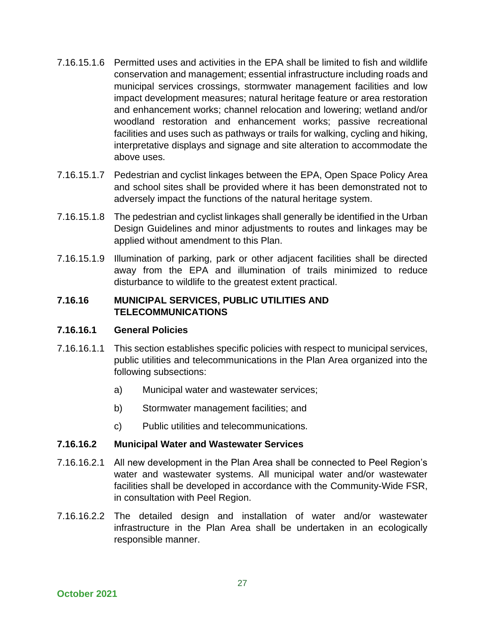- 7.16.15.1.6 Permitted uses and activities in the EPA shall be limited to fish and wildlife conservation and management; essential infrastructure including roads and municipal services crossings, stormwater management facilities and low impact development measures; natural heritage feature or area restoration and enhancement works; channel relocation and lowering; wetland and/or woodland restoration and enhancement works; passive recreational facilities and uses such as pathways or trails for walking, cycling and hiking, interpretative displays and signage and site alteration to accommodate the above uses.
- 7.16.15.1.7 Pedestrian and cyclist linkages between the EPA, Open Space Policy Area and school sites shall be provided where it has been demonstrated not to adversely impact the functions of the natural heritage system.
- 7.16.15.1.8 The pedestrian and cyclist linkages shall generally be identified in the Urban Design Guidelines and minor adjustments to routes and linkages may be applied without amendment to this Plan.
- 7.16.15.1.9 Illumination of parking, park or other adjacent facilities shall be directed away from the EPA and illumination of trails minimized to reduce disturbance to wildlife to the greatest extent practical.

### **7.16.16 MUNICIPAL SERVICES, PUBLIC UTILITIES AND TELECOMMUNICATIONS**

#### **7.16.16.1 General Policies**

- 7.16.16.1.1 This section establishes specific policies with respect to municipal services, public utilities and telecommunications in the Plan Area organized into the following subsections:
	- a) Municipal water and wastewater services;
	- b) Stormwater management facilities; and
	- c) Public utilities and telecommunications.

#### **7.16.16.2 Municipal Water and Wastewater Services**

- 7.16.16.2.1 All new development in the Plan Area shall be connected to Peel Region's water and wastewater systems. All municipal water and/or wastewater facilities shall be developed in accordance with the Community-Wide FSR, in consultation with Peel Region.
- 7.16.16.2.2 The detailed design and installation of water and/or wastewater infrastructure in the Plan Area shall be undertaken in an ecologically responsible manner.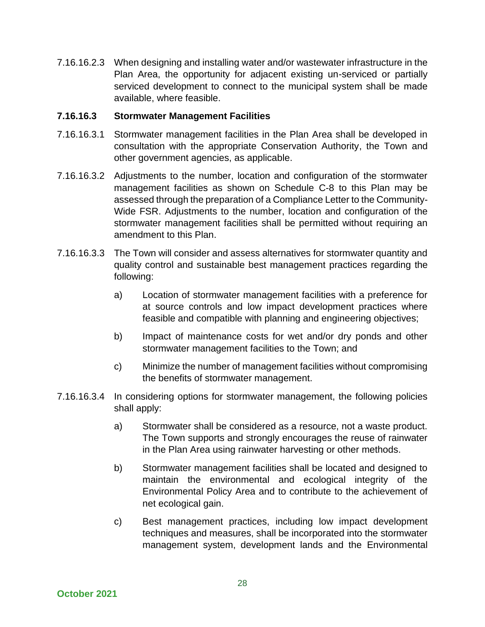7.16.16.2.3 When designing and installing water and/or wastewater infrastructure in the Plan Area, the opportunity for adjacent existing un-serviced or partially serviced development to connect to the municipal system shall be made available, where feasible.

#### **7.16.16.3 Stormwater Management Facilities**

- 7.16.16.3.1 Stormwater management facilities in the Plan Area shall be developed in consultation with the appropriate Conservation Authority, the Town and other government agencies, as applicable.
- 7.16.16.3.2 Adjustments to the number, location and configuration of the stormwater management facilities as shown on Schedule C-8 to this Plan may be assessed through the preparation of a Compliance Letter to the Community-Wide FSR. Adjustments to the number, location and configuration of the stormwater management facilities shall be permitted without requiring an amendment to this Plan.
- 7.16.16.3.3 The Town will consider and assess alternatives for stormwater quantity and quality control and sustainable best management practices regarding the following:
	- a) Location of stormwater management facilities with a preference for at source controls and low impact development practices where feasible and compatible with planning and engineering objectives;
	- b) Impact of maintenance costs for wet and/or dry ponds and other stormwater management facilities to the Town; and
	- c) Minimize the number of management facilities without compromising the benefits of stormwater management.
- 7.16.16.3.4 In considering options for stormwater management, the following policies shall apply:
	- a) Stormwater shall be considered as a resource, not a waste product. The Town supports and strongly encourages the reuse of rainwater in the Plan Area using rainwater harvesting or other methods.
	- b) Stormwater management facilities shall be located and designed to maintain the environmental and ecological integrity of the Environmental Policy Area and to contribute to the achievement of net ecological gain.
	- c) Best management practices, including low impact development techniques and measures, shall be incorporated into the stormwater management system, development lands and the Environmental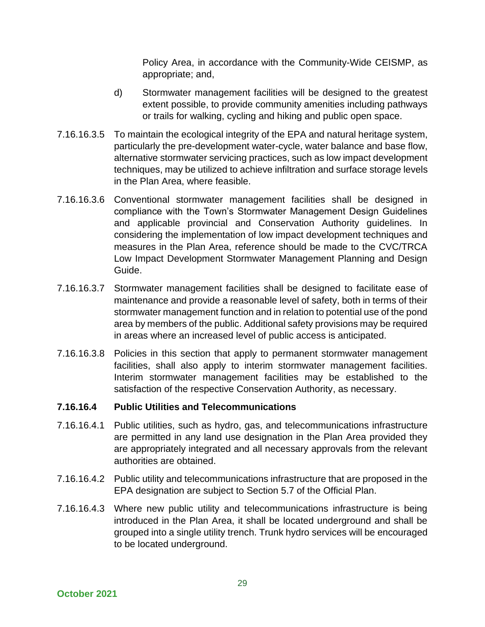Policy Area, in accordance with the Community-Wide CEISMP, as appropriate; and,

- d) Stormwater management facilities will be designed to the greatest extent possible, to provide community amenities including pathways or trails for walking, cycling and hiking and public open space.
- 7.16.16.3.5 To maintain the ecological integrity of the EPA and natural heritage system, particularly the pre-development water-cycle, water balance and base flow, alternative stormwater servicing practices, such as low impact development techniques, may be utilized to achieve infiltration and surface storage levels in the Plan Area, where feasible.
- 7.16.16.3.6 Conventional stormwater management facilities shall be designed in compliance with the Town's Stormwater Management Design Guidelines and applicable provincial and Conservation Authority guidelines. In considering the implementation of low impact development techniques and measures in the Plan Area, reference should be made to the CVC/TRCA Low Impact Development Stormwater Management Planning and Design Guide.
- 7.16.16.3.7 Stormwater management facilities shall be designed to facilitate ease of maintenance and provide a reasonable level of safety, both in terms of their stormwater management function and in relation to potential use of the pond area by members of the public. Additional safety provisions may be required in areas where an increased level of public access is anticipated.
- 7.16.16.3.8 Policies in this section that apply to permanent stormwater management facilities, shall also apply to interim stormwater management facilities. Interim stormwater management facilities may be established to the satisfaction of the respective Conservation Authority, as necessary.

#### **7.16.16.4 Public Utilities and Telecommunications**

- 7.16.16.4.1 Public utilities, such as hydro, gas, and telecommunications infrastructure are permitted in any land use designation in the Plan Area provided they are appropriately integrated and all necessary approvals from the relevant authorities are obtained.
- 7.16.16.4.2 Public utility and telecommunications infrastructure that are proposed in the EPA designation are subject to Section 5.7 of the Official Plan.
- 7.16.16.4.3 Where new public utility and telecommunications infrastructure is being introduced in the Plan Area, it shall be located underground and shall be grouped into a single utility trench. Trunk hydro services will be encouraged to be located underground.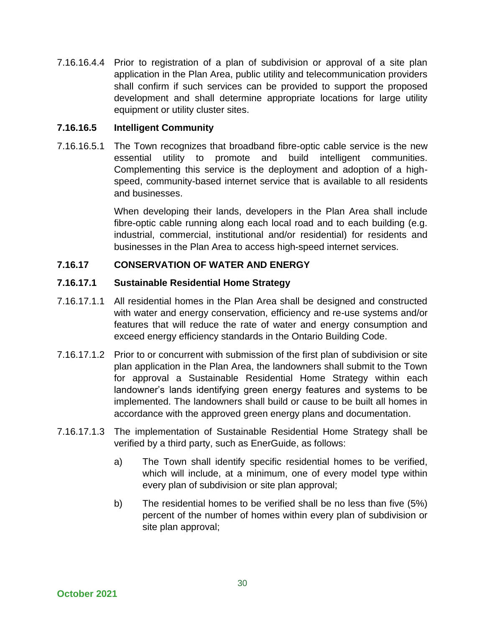7.16.16.4.4 Prior to registration of a plan of subdivision or approval of a site plan application in the Plan Area, public utility and telecommunication providers shall confirm if such services can be provided to support the proposed development and shall determine appropriate locations for large utility equipment or utility cluster sites.

### **7.16.16.5 Intelligent Community**

7.16.16.5.1 The Town recognizes that broadband fibre-optic cable service is the new essential utility to promote and build intelligent communities. Complementing this service is the deployment and adoption of a highspeed, community-based internet service that is available to all residents and businesses.

> When developing their lands, developers in the Plan Area shall include fibre-optic cable running along each local road and to each building (e.g. industrial, commercial, institutional and/or residential) for residents and businesses in the Plan Area to access high-speed internet services.

# **7.16.17 CONSERVATION OF WATER AND ENERGY**

#### **7.16.17.1 Sustainable Residential Home Strategy**

- 7.16.17.1.1 All residential homes in the Plan Area shall be designed and constructed with water and energy conservation, efficiency and re-use systems and/or features that will reduce the rate of water and energy consumption and exceed energy efficiency standards in the Ontario Building Code.
- 7.16.17.1.2 Prior to or concurrent with submission of the first plan of subdivision or site plan application in the Plan Area, the landowners shall submit to the Town for approval a Sustainable Residential Home Strategy within each landowner's lands identifying green energy features and systems to be implemented. The landowners shall build or cause to be built all homes in accordance with the approved green energy plans and documentation.
- 7.16.17.1.3 The implementation of Sustainable Residential Home Strategy shall be verified by a third party, such as EnerGuide, as follows:
	- a) The Town shall identify specific residential homes to be verified, which will include, at a minimum, one of every model type within every plan of subdivision or site plan approval;
	- b) The residential homes to be verified shall be no less than five (5%) percent of the number of homes within every plan of subdivision or site plan approval;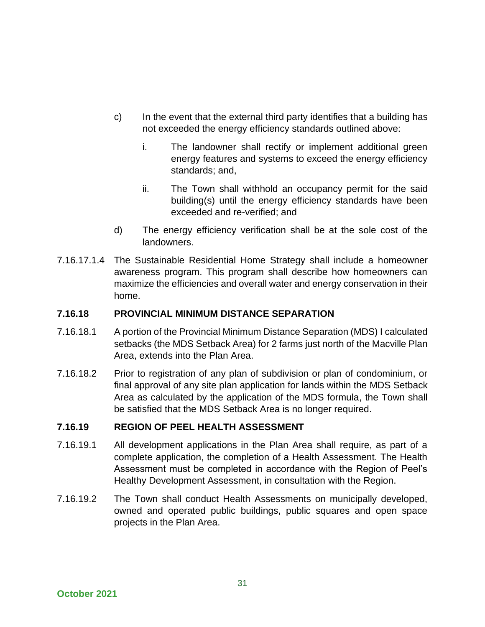- c) In the event that the external third party identifies that a building has not exceeded the energy efficiency standards outlined above:
	- i. The landowner shall rectify or implement additional green energy features and systems to exceed the energy efficiency standards; and,
	- ii. The Town shall withhold an occupancy permit for the said building(s) until the energy efficiency standards have been exceeded and re-verified; and
- d) The energy efficiency verification shall be at the sole cost of the landowners.
- 7.16.17.1.4 The Sustainable Residential Home Strategy shall include a homeowner awareness program. This program shall describe how homeowners can maximize the efficiencies and overall water and energy conservation in their home.

### **7.16.18 PROVINCIAL MINIMUM DISTANCE SEPARATION**

- 7.16.18.1 A portion of the Provincial Minimum Distance Separation (MDS) I calculated setbacks (the MDS Setback Area) for 2 farms just north of the Macville Plan Area, extends into the Plan Area.
- 7.16.18.2 Prior to registration of any plan of subdivision or plan of condominium, or final approval of any site plan application for lands within the MDS Setback Area as calculated by the application of the MDS formula, the Town shall be satisfied that the MDS Setback Area is no longer required.

#### **7.16.19 REGION OF PEEL HEALTH ASSESSMENT**

- 7.16.19.1 All development applications in the Plan Area shall require, as part of a complete application, the completion of a Health Assessment. The Health Assessment must be completed in accordance with the Region of Peel's Healthy Development Assessment, in consultation with the Region.
- 7.16.19.2 The Town shall conduct Health Assessments on municipally developed, owned and operated public buildings, public squares and open space projects in the Plan Area.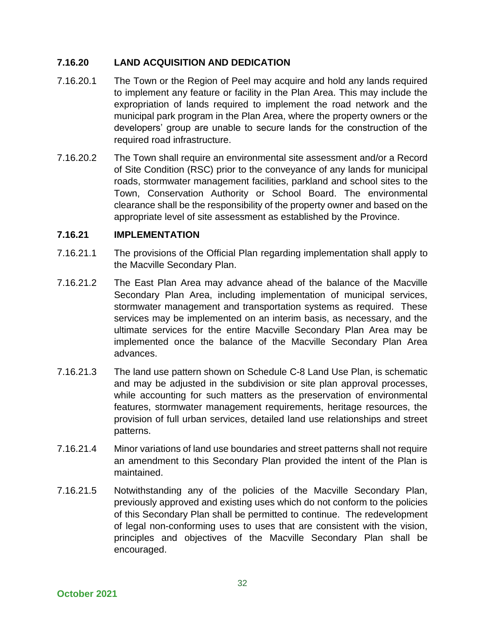# **7.16.20 LAND ACQUISITION AND DEDICATION**

- 7.16.20.1 The Town or the Region of Peel may acquire and hold any lands required to implement any feature or facility in the Plan Area. This may include the expropriation of lands required to implement the road network and the municipal park program in the Plan Area, where the property owners or the developers' group are unable to secure lands for the construction of the required road infrastructure.
- 7.16.20.2 The Town shall require an environmental site assessment and/or a Record of Site Condition (RSC) prior to the conveyance of any lands for municipal roads, stormwater management facilities, parkland and school sites to the Town, Conservation Authority or School Board. The environmental clearance shall be the responsibility of the property owner and based on the appropriate level of site assessment as established by the Province.

#### **7.16.21 IMPLEMENTATION**

- 7.16.21.1 The provisions of the Official Plan regarding implementation shall apply to the Macville Secondary Plan.
- 7.16.21.2 The East Plan Area may advance ahead of the balance of the Macville Secondary Plan Area, including implementation of municipal services, stormwater management and transportation systems as required. These services may be implemented on an interim basis, as necessary, and the ultimate services for the entire Macville Secondary Plan Area may be implemented once the balance of the Macville Secondary Plan Area advances.
- 7.16.21.3 The land use pattern shown on Schedule C-8 Land Use Plan, is schematic and may be adjusted in the subdivision or site plan approval processes, while accounting for such matters as the preservation of environmental features, stormwater management requirements, heritage resources, the provision of full urban services, detailed land use relationships and street patterns.
- 7.16.21.4 Minor variations of land use boundaries and street patterns shall not require an amendment to this Secondary Plan provided the intent of the Plan is maintained.
- 7.16.21.5 Notwithstanding any of the policies of the Macville Secondary Plan, previously approved and existing uses which do not conform to the policies of this Secondary Plan shall be permitted to continue. The redevelopment of legal non-conforming uses to uses that are consistent with the vision, principles and objectives of the Macville Secondary Plan shall be encouraged.